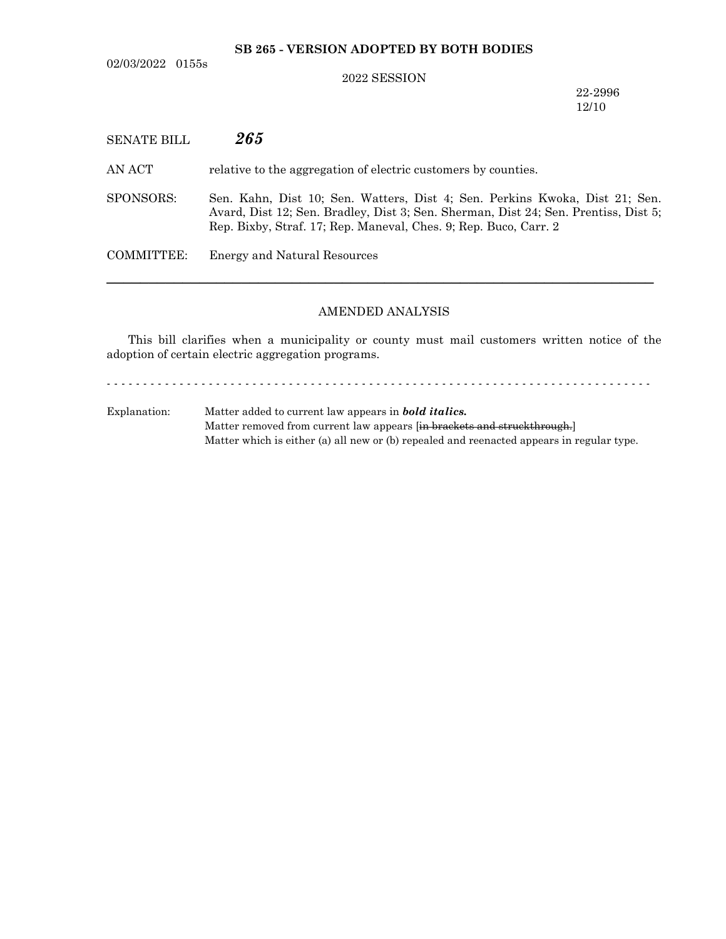**SB 265 - VERSION ADOPTED BY BOTH BODIES**

02/03/2022 0155s

## 2022 SESSION

22-2996 12/10

| SENATE BILL | 265                                                                                                                                                                                                                                    |
|-------------|----------------------------------------------------------------------------------------------------------------------------------------------------------------------------------------------------------------------------------------|
| AN ACT-     | relative to the aggregation of electric customers by counties.                                                                                                                                                                         |
| SPONSORS:   | Sen. Kahn, Dist 10; Sen. Watters, Dist 4; Sen. Perkins Kwoka, Dist 21; Sen.<br>Avard, Dist 12; Sen. Bradley, Dist 3; Sen. Sherman, Dist 24; Sen. Prentiss, Dist 5;<br>Rep. Bixby, Straf. 17; Rep. Maneval, Ches. 9; Rep. Buco, Carr. 2 |
| COMMITTEE:  | Energy and Natural Resources                                                                                                                                                                                                           |
|             |                                                                                                                                                                                                                                        |

## AMENDED ANALYSIS

This bill clarifies when a municipality or county must mail customers written notice of the adoption of certain electric aggregation programs.

- - - - - - - - - - - - - - - - - - - - - - - - - - - - - - - - - - - - - - - - - - - - - - - - - - - - - - - - - - - - - - - - - - - - - - - - - - -

Explanation: Matter added to current law appears in *bold italics.* Matter removed from current law appears [in brackets and struckthrough.] Matter which is either (a) all new or (b) repealed and reenacted appears in regular type.